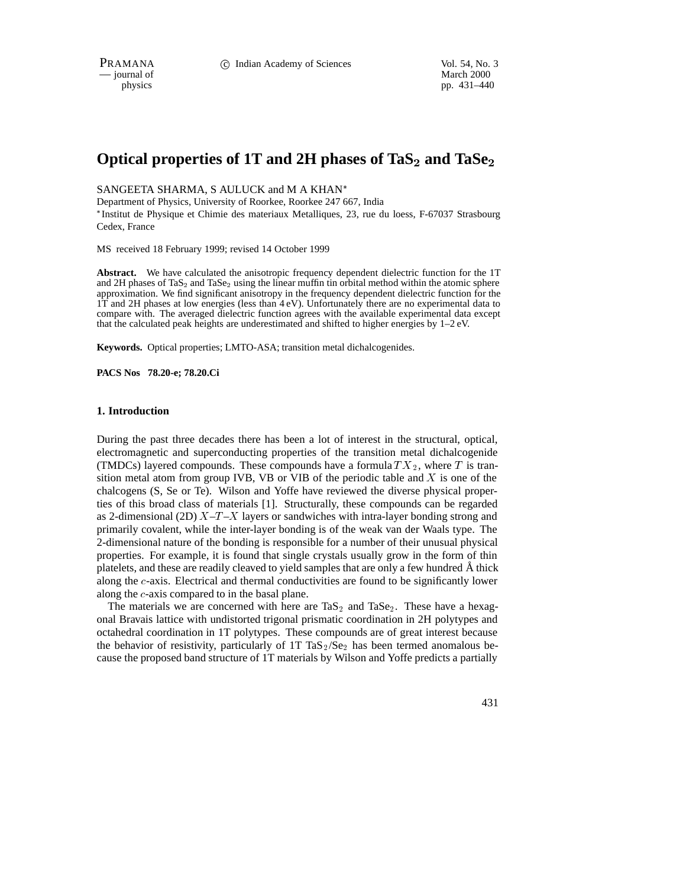$\overline{\phantom{a}}$  journal of

physics pp. 431–440

# **Optical properties of 1T and 2H phases of TaS<sub>2</sub> and TaSe<sub>2</sub>**

# SANGEETA SHARMA, S AULUCK and M A KHAN

Department of Physics, University of Roorkee, Roorkee 247 667, India

 Institut de Physique et Chimie des materiaux Metalliques, 23, rue du loess, F-67037 Strasbourg Cedex, France

MS received 18 February 1999; revised 14 October 1999

**Abstract.** We have calculated the anisotropic frequency dependent dielectric function for the 1T and 2H phases of TaS<sub>2</sub> and TaS<sub>e<sub>2</sub> using the linear muffin tin orbital method within the atomic sphere</sub> approximation. We find significant anisotropy in the frequency dependent dielectric function for the 1T and 2H phases at low energies (less than 4 eV). Unfortunately there are no experimental data to compare with. The averaged dielectric function agrees with the available experimental data except that the calculated peak heights are underestimated and shifted to higher energies by 1–2 eV.

**Keywords.** Optical properties; LMTO-ASA; transition metal dichalcogenides.

**PACS Nos 78.20-e; 78.20.Ci**

### **1. Introduction**

During the past three decades there has been a lot of interest in the structural, optical, electromagnetic and superconducting properties of the transition metal dichalcogenide (TMDCs) layered compounds. These compounds have a formula  $TX_2$ , where T is transition metal atom from group IVB, VB or VIB of the periodic table and  $X$  is one of the chalcogens (S, Se or Te). Wilson and Yoffe have reviewed the diverse physical properties of this broad class of materials [1]. Structurally, these compounds can be regarded as 2-dimensional (2D)  $X-T-X$  layers or sandwiches with intra-layer bonding strong and primarily covalent, while the inter-layer bonding is of the weak van der Waals type. The 2-dimensional nature of the bonding is responsible for a number of their unusual physical properties. For example, it is found that single crystals usually grow in the form of thin platelets, and these are readily cleaved to yield samples that are only a few hundred  $\AA$  thick along the <sup>c</sup>-axis. Electrical and thermal conductivities are found to be significantly lower along the <sup>c</sup>-axis compared to in the basal plane.

The materials we are concerned with here are  $TaS_2$  and  $TaSe_2$ . These have a hexagonal Bravais lattice with undistorted trigonal prismatic coordination in 2H polytypes and octahedral coordination in 1T polytypes. These compounds are of great interest because the behavior of resistivity, particularly of 1T TaS $_2$ /Se<sub>2</sub> has been termed anomalous because the proposed band structure of 1T materials by Wilson and Yoffe predicts a partially

431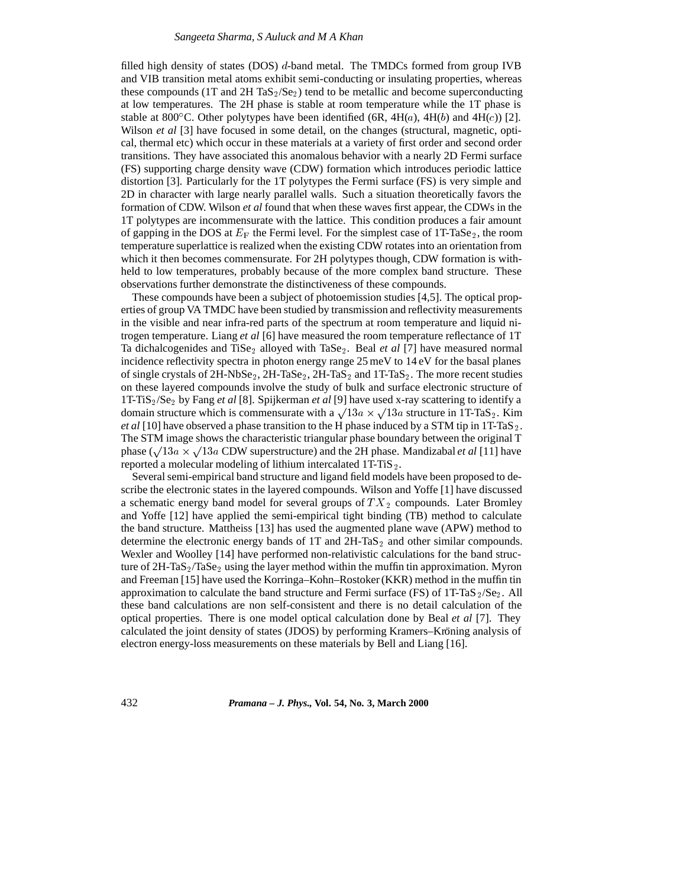filled high density of states (DOS) <sup>d</sup>-band metal. The TMDCs formed from group IVB and VIB transition metal atoms exhibit semi-conducting or insulating properties, whereas these compounds (1T and 2H TaS<sub>2</sub>/Se<sub>2</sub>) tend to be metallic and become superconducting at low temperatures. The 2H phase is stable at room temperature while the 1T phase is stable at 800°C. Other polytypes have been identified (6R,  $4H(a)$ ,  $4H(b)$  and  $4H(c)$ ) [2]. Wilson *et al* [3] have focused in some detail, on the changes (structural, magnetic, optical, thermal etc) which occur in these materials at a variety of first order and second order transitions. They have associated this anomalous behavior with a nearly 2D Fermi surface (FS) supporting charge density wave (CDW) formation which introduces periodic lattice distortion [3]. Particularly for the 1T polytypes the Fermi surface (FS) is very simple and 2D in character with large nearly parallel walls. Such a situation theoretically favors the formation of CDW. Wilson *et al* found that when these waves first appear, the CDWs in the 1T polytypes are incommensurate with the lattice. This condition produces a fair amount of gapping in the DOS at  $E_F$  the Fermi level. For the simplest case of 1T-TaSe  $_2$ , the room temperature superlattice is realized when the existing CDW rotates into an orientation from which it then becomes commensurate. For 2H polytypes though, CDW formation is withheld to low temperatures, probably because of the more complex band structure. These observations further demonstrate the distinctiveness of these compounds.

These compounds have been a subject of photoemission studies [4,5]. The optical properties of group VA TMDC have been studied by transmission and reflectivity measurements in the visible and near infra-red parts of the spectrum at room temperature and liquid nitrogen temperature. Liang *et al* [6] have measured the room temperature reflectance of 1T Ta dichalcogenides and TiSe<sub>2</sub> alloyed with TaSe<sub>2</sub>. Beal *et al* [7] have measured normal incidence reflectivity spectra in photon energy range  $25 \text{ meV}$  to  $14 \text{ eV}$  for the basal planes of single crystals of  $2H\text{-}NbSe_2$ ,  $2H\text{-}TaSe_2$ ,  $2H\text{-}TaS_2$  and  $1T\text{-}TaS_2$ . The more recent studies on these layered compounds involve the study of bulk and surface electronic structure of 1T-TiS2/Se<sup>2</sup> by Fang *et al* [8]. Spijkerman *et al* [9] have used x-ray scattering to identify a domain structure which is commensurate with a  $\sqrt{13a} \times \sqrt{13a}$  structure in 1T-TaS<sub>2</sub>. Kim *et al* [10] have observed a phase transition to the H phase induced by a STM tip in 1T-TaS  $_2$ . The STM image shows the characteristic triangular phase boundary between the original T phase  $(\sqrt{13}a \times \sqrt{13}a$  CDW superstructure) and the 2H phase. Mandizabal *et al* [11] have reported a molecular modeling of lithium intercalated  $1T-TiS_2$ .

Several semi-empirical band structure and ligand field models have been proposed to describe the electronic states in the layered compounds. Wilson and Yoffe [1] have discussed a schematic energy band model for several groups of  $TX_2$  compounds. Later Bromley and Yoffe [12] have applied the semi-empirical tight binding (TB) method to calculate the band structure. Mattheiss [13] has used the augmented plane wave (APW) method to determine the electronic energy bands of  $1T$  and  $2H$ -TaS<sub>2</sub> and other similar compounds. Wexler and Woolley [14] have performed non-relativistic calculations for the band structure of  $2H$ -TaS<sub>2</sub>/TaSe<sub>2</sub> using the layer method within the muffin tin approximation. Myron and Freeman [15] have used the Korringa–Kohn–Rostoker (KKR) method in the muffin tin approximation to calculate the band structure and Fermi surface (FS) of 1T-TaS  $_2$ /Se $_2$ . All these band calculations are non self-consistent and there is no detail calculation of the optical properties. There is one model optical calculation done by Beal *et al* [7]. They calculated the joint density of states (JDOS) by performing Kramers–Kröning analysis of electron energy-loss measurements on these materials by Bell and Liang [16].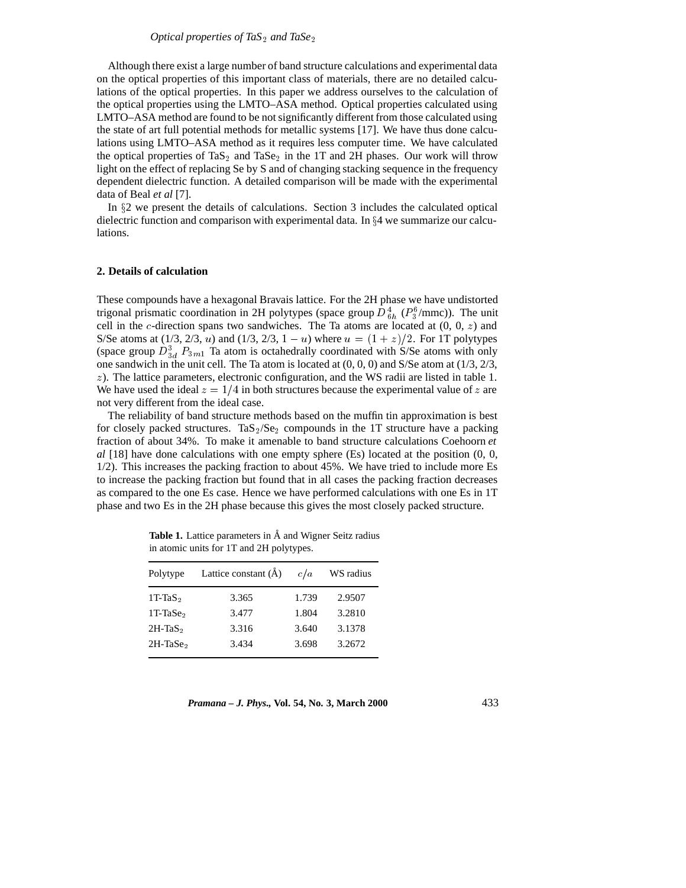## *Optical properties of TaS<sub>2</sub> and TaSe<sub>2</sub>*

Although there exist a large number of band structure calculations and experimental data on the optical properties of this important class of materials, there are no detailed calculations of the optical properties. In this paper we address ourselves to the calculation of the optical properties using the LMTO–ASA method. Optical properties calculated using LMTO–ASA method are found to be not significantly different from those calculated using the state of art full potential methods for metallic systems [17]. We have thus done calculations using LMTO–ASA method as it requires less computer time. We have calculated the optical properties of TaS<sub>2</sub> and TaSe<sub>2</sub> in the 1T and 2H phases. Our work will throw light on the effect of replacing Se by S and of changing stacking sequence in the frequency dependent dielectric function. A detailed comparison will be made with the experimental data of Beal *et al* [7].

In  $\S2$  we present the details of calculations. Section 3 includes the calculated optical dielectric function and comparison with experimental data. In  $\S 4$  we summarize our calculations.

### **2. Details of calculation**

These compounds have a hexagonal Bravais lattice. For the 2H phase we have undistorted trigonal prismatic coordination in 2H polytypes (space group  $D_{6h}^{4}$  ( $P_3^6/\text{mmc}$ )). The unit cell in the  $c$ -direction spans two sandwiches. The Ta atoms are located at  $(0, 0, z)$  and S/Se atoms at (1/3, 2/3, u) and (1/3, 2/3, 1 – u) where  $u = (1 + z)/2$ . For 1T polytypes (space group  $D_{3d}^3$   $P_{3m1}$  Ta atom is octahedrally coordinated with S/Se atoms with only one sandwich in the unit cell. The Ta atom is located at (0, 0, 0) and S/Se atom at (1/3, 2/3,  $z$ ). The lattice parameters, electronic configuration, and the WS radii are listed in table 1. We have used the ideal  $z = 1/4$  in both structures because the experimental value of z are not very different from the ideal case.

The reliability of band structure methods based on the muffin tin approximation is best for closely packed structures. TaS<sub>2</sub>/Se<sub>2</sub> compounds in the 1T structure have a packing fraction of about 34%. To make it amenable to band structure calculations Coehoorn *et al* [18] have done calculations with one empty sphere (Es) located at the position (0, 0, 1/2). This increases the packing fraction to about 45%. We have tried to include more Es to increase the packing fraction but found that in all cases the packing fraction decreases as compared to the one Es case. Hence we have performed calculations with one Es in 1T phase and two Es in the 2H phase because this gives the most closely packed structure.

| Polytype                | Lattice constant (Å) | c/a   | WS radius |
|-------------------------|----------------------|-------|-----------|
| $1T-TaS2$               | 3.365                | 1.739 | 2.9507    |
| $1T-TaSe2$              | 3.477                | 1.804 | 3.2810    |
| $2H-TaS2$               | 3.316                | 3.640 | 3.1378    |
| $2H$ -TaSe <sub>2</sub> | 3.434                | 3.698 | 3.2672    |

Table 1. Lattice parameters in Å and Wigner Seitz radius in atomic units for 1T and 2H polytypes.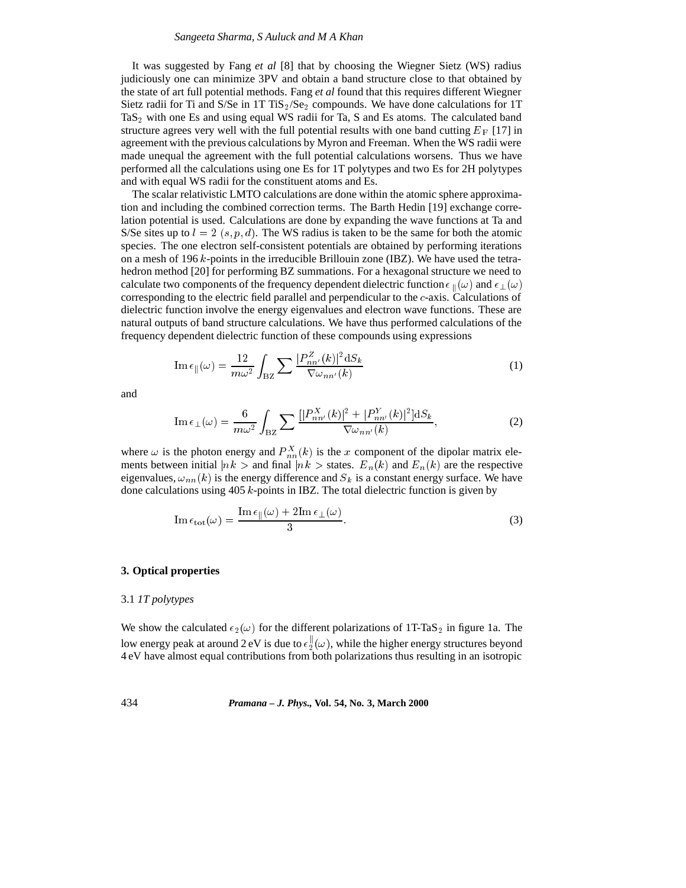#### *Sangeeta Sharma, S Auluck and M A Khan*

It was suggested by Fang *et al* [8] that by choosing the Wiegner Sietz (WS) radius judiciously one can minimize 3PV and obtain a band structure close to that obtained by the state of art full potential methods. Fang *et al* found that this requires different Wiegner Sietz radii for Ti and S/Se in  $1T$  TiS<sub>2</sub>/Se<sub>2</sub> compounds. We have done calculations for  $1T$  $TaS<sub>2</sub>$  with one Es and using equal WS radii for Ta, S and Es atoms. The calculated band structure agrees very well with the full potential results with one band cutting  $E_F$  [17] in agreement with the previous calculations by Myron and Freeman. When the WS radii were made unequal the agreement with the full potential calculations worsens. Thus we have performed all the calculations using one Es for 1T polytypes and two Es for 2H polytypes and with equal WS radii for the constituent atoms and Es.

The scalar relativistic LMTO calculations are done within the atomic sphere approximation and including the combined correction terms. The Barth Hedin [19] exchange correlation potential is used. Calculations are done by expanding the wave functions at Ta and S/Se sites up to  $l = 2(s, p, d)$ . The WS radius is taken to be the same for both the atomic species. The one electron self-consistent potentials are obtained by performing iterations on a mesh of 196 <sup>k</sup>-points in the irreducible Brillouin zone (IBZ). We have used the tetrahedron method [20] for performing BZ summations. For a hexagonal structure we need to calculate two components of the frequency dependent dielectric function  $\epsilon_{\parallel}(\omega)$  and  $\epsilon_{\perp}(\omega)$ corresponding to the electric field parallel and perpendicular to the <sup>c</sup>-axis. Calculations of dielectric function involve the energy eigenvalues and electron wave functions. These are natural outputs of band structure calculations. We have thus performed calculations of the frequency dependent dielectric function of these compounds using expressions

$$
\operatorname{Im}\epsilon_{\parallel}(\omega) = \frac{12}{m\omega^2} \int_{\text{BZ}} \sum \frac{|P_{nn'}^{Z}(k)|^2 dS_k}{\nabla \omega_{nn'}(k)}\tag{1}
$$

and

Im 
$$
\epsilon_{\perp}(\omega) = \frac{6}{m\omega^2} \int_{\text{BZ}} \sum \frac{[|P_{nn'}^{X}(k)|^2 + |P_{nn'}^{Y}(k)|^2]dS_k}{\nabla \omega_{nn'}(k)},
$$
 (2)

where  $\omega$  is the photon energy and  $P_{nn}^X(k)$  is the x component of the dipolar matrix elements between initial  $|nk\rangle$  and final  $|nk\rangle$  states.  $E_n(k)$  and  $E_n(k)$  are the respective eigenvalues,  $\omega_{nn}(k)$  is the energy difference and  $S_k$  is a constant energy surface. We have done calculations using  $405 k$ -points in IBZ. The total dielectric function is given by

$$
\operatorname{Im} \epsilon_{\text{tot}}(\omega) = \frac{\operatorname{Im} \epsilon_{\parallel}(\omega) + 2 \operatorname{Im} \epsilon_{\perp}(\omega)}{3}.
$$
 (3)

#### **3. Optical properties**

### 3.1 *1T polytypes*

We show the calculated  $\epsilon_2(\omega)$  for the different polarizations of 1T-TaS<sub>2</sub> in figure 1a. The low energy peak at around 2 eV is due to  $\epsilon^{\,\parallel}_2(\omega)$ , while the higher energy structures beyond 4 eV have almost equal contributions from both polarizations thus resulting in an isotropic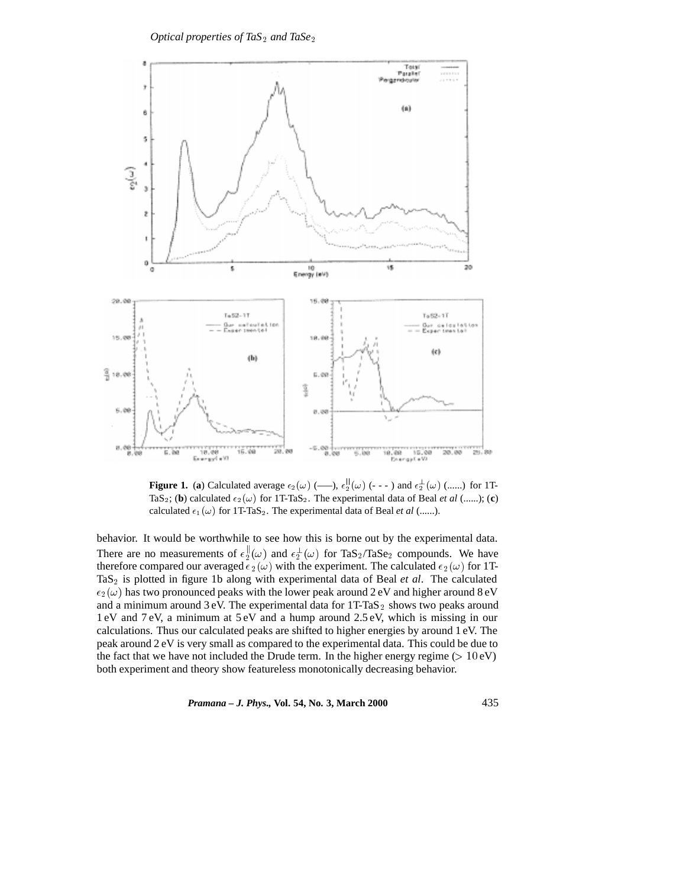*Optical properties of TaS<sub>2</sub> and TaSe<sub>2</sub>* 



**Figure 1.** (a) Calculated average  $\epsilon_2(\omega)$  (---),  $\epsilon_2^{(j)}(\omega)$  (---) and  $\epsilon_2^{\perp}(\omega)$  (......) for 1T-TaS<sub>2</sub>; (**b**) calculated  $\epsilon_2(\omega)$  for 1T-TaS<sub>2</sub>. The experimental data of Beal *et al* (......); (**c**) calculated  $\epsilon_1(\omega)$  for 1T-TaS<sub>2</sub>. The experimental data of Beal *et al* (......).

behavior. It would be worthwhile to see how this is borne out by the experimental data. There are no measurements of  $\epsilon_2^{\parallel}(\omega)$  and  $\epsilon_2^{\perp}(\omega)$  for TaS<sub>2</sub>/TaSe<sub>2</sub> compounds. We have therefore compared our averaged  $\epsilon_2(\omega)$  with the experiment. The calculated  $\epsilon_2(\omega)$  for 1T-TaS<sup>2</sup> is plotted in figure 1b along with experimental data of Beal *et al*. The calculated  $\epsilon_2(\omega)$  has two pronounced peaks with the lower peak around 2 eV and higher around 8 eV and a minimum around  $3 \text{ eV}$ . The experimental data for  $1 \text{T-TaS}_2$  shows two peaks around 1 eV and 7 eV, a minimum at 5 eV and a hump around 2.5 eV, which is missing in our calculations. Thus our calculated peaks are shifted to higher energies by around 1 eV. The peak around 2 eV is very small as compared to the experimental data. This could be due to the fact that we have not included the Drude term. In the higher energy regime ( $> 10 \text{ eV}$ ) both experiment and theory show featureless monotonically decreasing behavior.

*Pramana – J. Phys.,* **Vol. 54, No. 3, March 2000** 435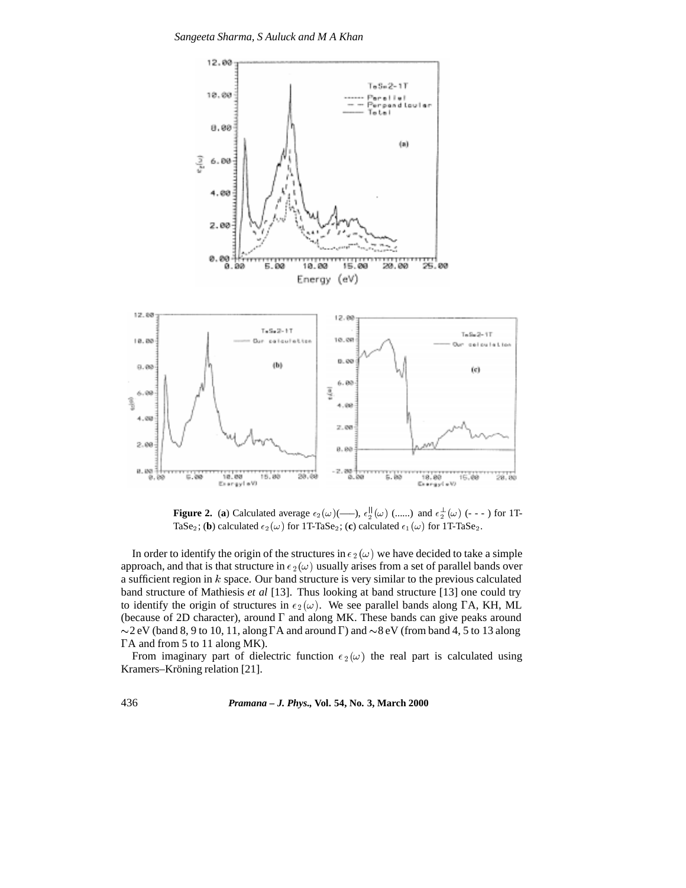

**Figure 2.** (a) Calculated average  $\epsilon_2(\omega)$ (---),  $\epsilon_2^{(1)}(\omega)$  (......) and  $\epsilon_2^{(1)}(\omega)$  (- - - ) for 1T-TaSe<sub>2</sub>; (**b**) calculated  $\epsilon_2(\omega)$  for 1T-TaSe<sub>2</sub>; (**c**) calculated  $\epsilon_1(\omega)$  for 1T-TaSe<sub>2</sub>.

In order to identify the origin of the structures in  $\epsilon_2(\omega)$  we have decided to take a simple approach, and that is that structure in  $\epsilon_2(\omega)$  usually arises from a set of parallel bands over a sufficient region in  $k$  space. Our band structure is very similar to the previous calculated band structure of Mathiesis *et al* [13]. Thus looking at band structure [13] one could try to identify the origin of structures in  $\epsilon_2(\omega)$ . We see parallel bands along TA, KH, ML (because of 2D character), around  $\Gamma$  and along MK. These bands can give peaks around  $\sim$  2 eV (band 8, 9 to 10, 11, along  $\Gamma A$  and around  $\Gamma$ ) and  $\sim$  8 eV (from band 4, 5 to 13 along TA and from 5 to 11 along MK).

From imaginary part of dielectric function  $\epsilon_2(\omega)$  the real part is calculated using Kramers–Kröning relation [21].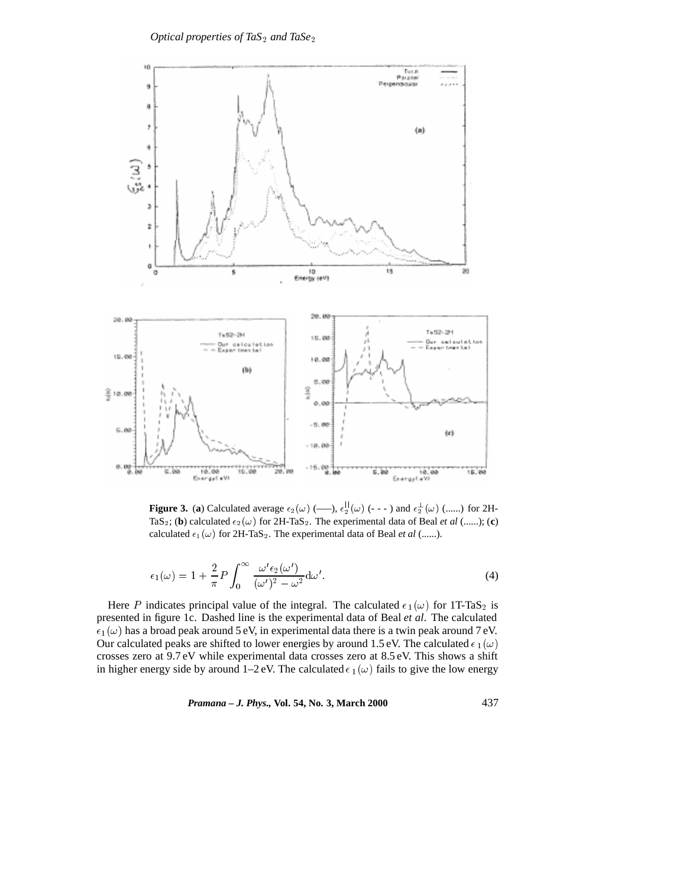

**Figure 3.** (a) Calculated average  $\epsilon_2(\omega)$  (---),  $\epsilon_2^{(1)}(\omega)$  (---) and  $\epsilon_2^{\perp}(\omega)$  (......) for 2H-TaS<sub>2</sub>; (b) calculated  $\epsilon_2(\omega)$  for 2H-TaS<sub>2</sub>. The experimental data of Beal *et al* (......); (c) calculated  $\epsilon_1(\omega)$  for 2H-TaS<sub>2</sub>. The experimental data of Beal *et al* (......).

$$
\epsilon_1(\omega) = 1 + \frac{2}{\pi} P \int_0^\infty \frac{\omega' \epsilon_2(\omega')}{(\omega')^2 - \omega^2} d\omega'.
$$
 (4)

Here P indicates principal value of the integral. The calculated  $\epsilon_1(\omega)$  for 1T-TaS<sub>2</sub> is presented in figure 1c. Dashed line is the experimental data of Beal *et al*. The calculated  $\epsilon_1(\omega)$  has a broad peak around 5 eV, in experimental data there is a twin peak around 7 eV. Our calculated peaks are shifted to lower energies by around 1.5 eV. The calculated  $\epsilon_1(\omega)$ crosses zero at 9.7 eV while experimental data crosses zero at 8.5 eV. This shows a shift in higher energy side by around 1–2 eV. The calculated  $\epsilon_1(\omega)$  fails to give the low energy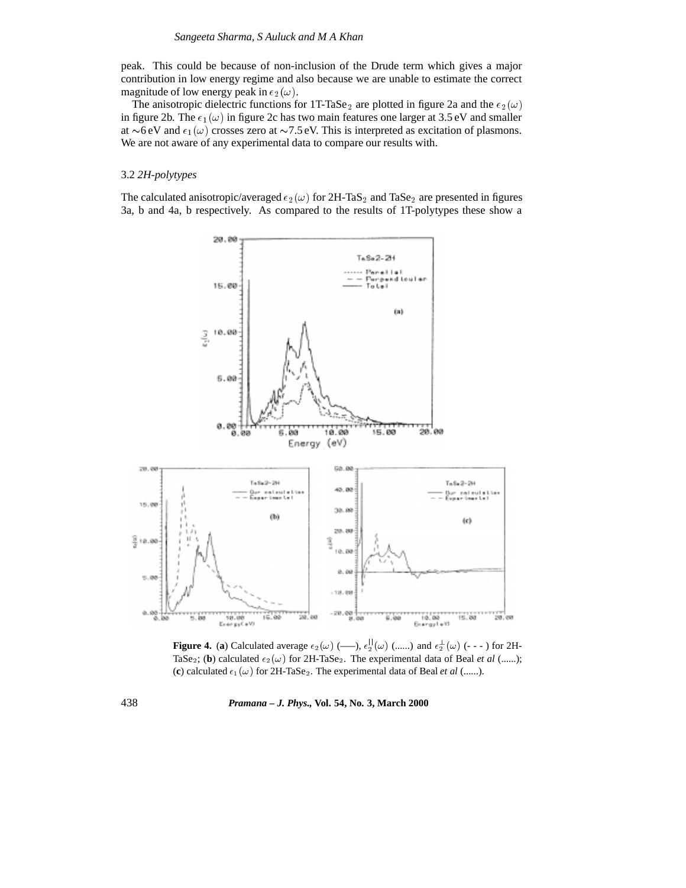peak. This could be because of non-inclusion of the Drude term which gives a major contribution in low energy regime and also because we are unable to estimate the correct magnitude of low energy peak in  $\epsilon_2(\omega)$ .

The anisotropic dielectric functions for 1T-TaSe<sub>2</sub> are plotted in figure 2a and the  $\epsilon_2(\omega)$ in figure 2b. The  $\epsilon_1(\omega)$  in figure 2c has two main features one larger at 3.5 eV and smaller at  $\sim$ 6 eV and  $\epsilon_1(\omega)$  crosses zero at  $\sim$ 7.5 eV. This is interpreted as excitation of plasmons. We are not aware of any experimental data to compare our results with.

## 3.2 *2H-polytypes*

The calculated anisotropic/averaged  $\epsilon_2(\omega)$  for 2H-TaS<sub>2</sub> and TaSe<sub>2</sub> are presented in figures 3a, b and 4a, b respectively. As compared to the results of 1T-polytypes these show a



**Figure 4.** (a) Calculated average  $\epsilon_2(\omega)$  (---),  $\epsilon_2^{(1)}(\omega)$  (......) and  $\epsilon_2^{(1)}(\omega)$  (---) for 2H-TaSe<sub>2</sub>; (**b**) calculated  $\epsilon_2(\omega)$  for 2H-TaSe<sub>2</sub>. The experimental data of Beal *et al* (......); (c) calculated  $\epsilon_1(\omega)$  for 2H-TaSe<sub>2</sub>. The experimental data of Beal *et al* (......).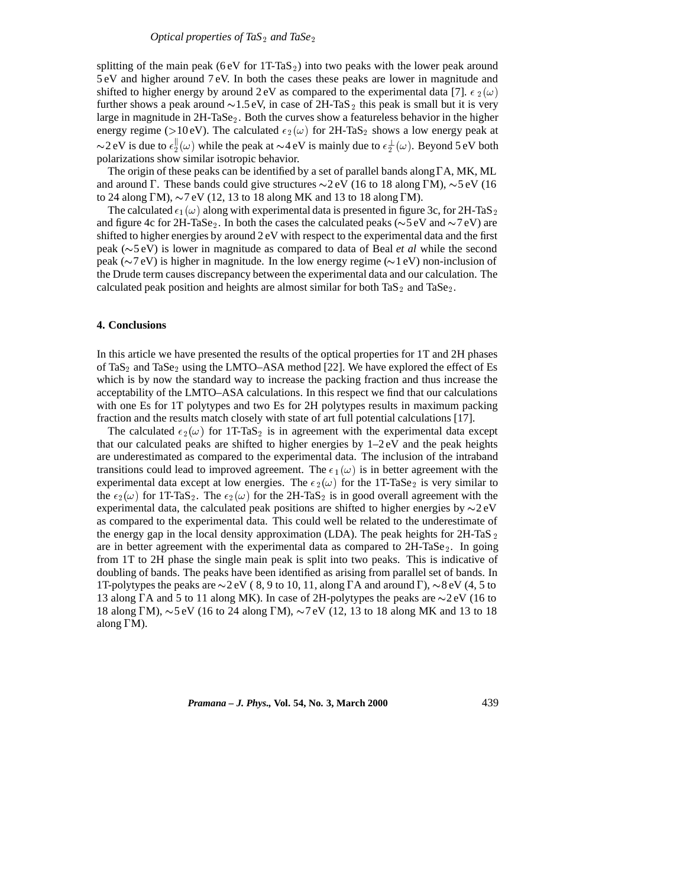splitting of the main peak (6 eV for  $1T-TaS_2$ ) into two peaks with the lower peak around 5 eV and higher around 7 eV. In both the cases these peaks are lower in magnitude and shifted to higher energy by around 2 eV as compared to the experimental data [7].  $\epsilon_2(\omega)$ further shows a peak around  $\sim 1.5 \text{ eV}$ , in case of 2H-TaS<sub>2</sub> this peak is small but it is very large in magnitude in  $2H$ -TaSe<sub>2</sub>. Both the curves show a featureless behavior in the higher energy regime (>10 eV). The calculated  $\epsilon_2(\omega)$  for 2H-TaS<sub>2</sub> shows a low energy peak at  $\sim$ 2 eV is due to  $\epsilon_2^{\parallel}(\omega)$  while the peak at  $\sim$ 4 eV is mainly due to  $\epsilon_2^{\perp}(\omega)$ . Beyond 5 eV both polarizations show similar isotropic behavior.

The origin of these peaks can be identified by a set of parallel bands along  $\Gamma A$ , MK, ML and around  $\Gamma$ . These bands could give structures  $\sim$ 2 eV (16 to 18 along  $\Gamma$ M),  $\sim$ 5 eV (16 to 24 along  $\Gamma$ M),  $\sim$ 7 eV (12, 13 to 18 along MK and 13 to 18 along  $\Gamma$ M).

The calculated  $\epsilon_1(\omega)$  along with experimental data is presented in figure 3c, for 2H-TaS  $_2$ and figure 4c for 2H-TaSe<sub>2</sub>. In both the cases the calculated peaks ( $\sim$ 5 eV and  $\sim$ 7 eV) are shifted to higher energies by around 2 eV with respect to the experimental data and the first peak ( $\sim$ 5 eV) is lower in magnitude as compared to data of Beal *et al* while the second peak ( $\sim$ 7 eV) is higher in magnitude. In the low energy regime ( $\sim$ 1 eV) non-inclusion of the Drude term causes discrepancy between the experimental data and our calculation. The calculated peak position and heights are almost similar for both  $TaS_2$  and  $TaSe_2$ .

## **4. Conclusions**

In this article we have presented the results of the optical properties for 1T and 2H phases of TaS<sub>2</sub> and TaSe<sub>2</sub> using the LMTO–ASA method [22]. We have explored the effect of Es which is by now the standard way to increase the packing fraction and thus increase the acceptability of the LMTO–ASA calculations. In this respect we find that our calculations with one Es for 1T polytypes and two Es for 2H polytypes results in maximum packing fraction and the results match closely with state of art full potential calculations [17].

The calculated  $\epsilon_2(\omega)$  for 1T-TaS<sub>2</sub> is in agreement with the experimental data except that our calculated peaks are shifted to higher energies by  $1-2$  eV and the peak heights are underestimated as compared to the experimental data. The inclusion of the intraband transitions could lead to improved agreement. The  $\epsilon_1(\omega)$  is in better agreement with the experimental data except at low energies. The  $\epsilon_2(\omega)$  for the 1T-TaSe<sub>2</sub> is very similar to the  $\epsilon_2(\omega)$  for 1T-TaS<sub>2</sub>. The  $\epsilon_2(\omega)$  for the 2H-TaS<sub>2</sub> is in good overall agreement with the experimental data, the calculated peak positions are shifted to higher energies by  $\sim$ 2 eV as compared to the experimental data. This could well be related to the underestimate of the energy gap in the local density approximation (LDA). The peak heights for  $2H$ -TaS  $_2$ are in better agreement with the experimental data as compared to  $2H$ -TaSe<sub>2</sub>. In going from 1T to 2H phase the single main peak is split into two peaks. This is indicative of doubling of bands. The peaks have been identified as arising from parallel set of bands. In 1T-polytypes the peaks are  $\sim$ 2 eV (8, 9 to 10, 11, along  $\Gamma A$  and around  $\Gamma$ ),  $\sim$ 8 eV (4, 5 to 13 along  $\Gamma A$  and 5 to 11 along MK). In case of 2H-polytypes the peaks are  $\sim$ 2 eV (16 to 18 along  $\Gamma$ M),  $\sim$ 5 eV (16 to 24 along  $\Gamma$ M),  $\sim$ 7 eV (12, 13 to 18 along MK and 13 to 18 along  $\Gamma$ M).